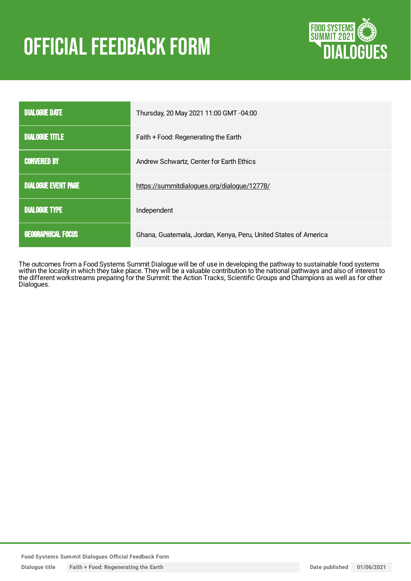# OFFICIAL FEEDBACK FORM



| <b>DIALOGUE DATE</b>       | Thursday, 20 May 2021 11:00 GMT -04:00                          |
|----------------------------|-----------------------------------------------------------------|
| <b>DIALOGUE TITLE</b>      | Faith + Food: Regenerating the Earth                            |
| <b>CONVENED BY</b>         | Andrew Schwartz, Center for Earth Ethics                        |
| <b>DIALOGUE EVENT PAGE</b> | https://summitdialogues.org/dialogue/12778/                     |
| <b>DIALOGUE TYPE</b>       | Independent                                                     |
| <b>GEOGRAPHICAL FOCUS</b>  | Ghana, Guatemala, Jordan, Kenya, Peru, United States of America |

The outcomes from a Food Systems Summit Dialogue will be of use in developing the pathway to sustainable food systems within the locality in which they take place. They will be a valuable contribution to the national pathways and also of interest to the different workstreams preparing for the Summit: the Action Tracks, Scientific Groups and Champions as well as for other Dialogues.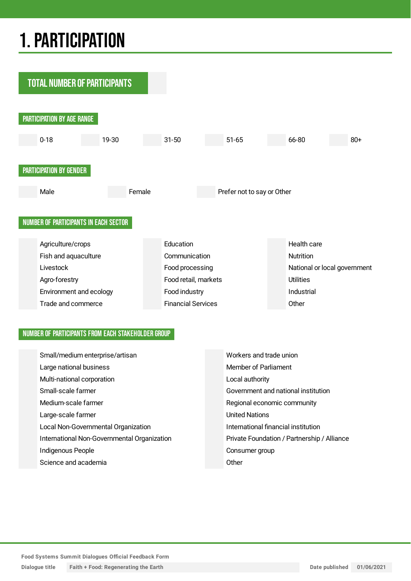## 1.PARTICIPATION



#### NUMBER OF PARTICIPANTS FROM EACH STAKEHOLDER GROUP

| Small/medium enterprise/artisan             | Workers and trade union                     |
|---------------------------------------------|---------------------------------------------|
| Large national business                     | Member of Parliament                        |
| Multi-national corporation                  | Local authority                             |
| Small-scale farmer                          | Government and national institution         |
| Medium-scale farmer                         | Regional economic community                 |
| Large-scale farmer                          | <b>United Nations</b>                       |
| Local Non-Governmental Organization         | International financial institution         |
| International Non-Governmental Organization | Private Foundation / Partnership / Alliance |
| Indigenous People                           | Consumer group                              |
| Science and academia                        | Other                                       |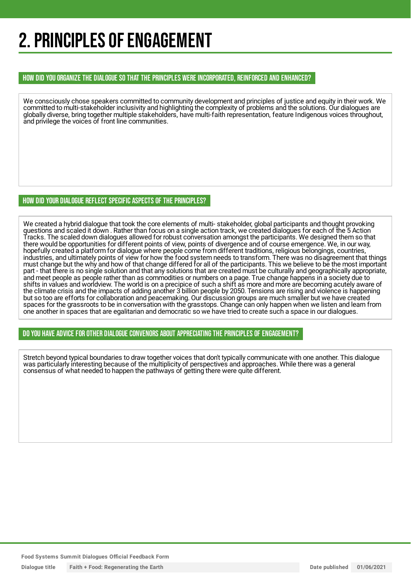## 2. PRINCIPLES OF ENGAGEMENT

#### HOW DID YOU ORGANIZE THE DIALOGUE SO THAT THE PRINCIPLES WERE INCORPORATED, REINFORCED AND ENHANCED?

We consciously chose speakers committed to community development and principles of justice and equity in their work. We committed to multi-stakeholder inclusivity and highlighting the complexity of problems and the solutions. Our dialogues are globally diverse, bring together multiple stakeholders, have multi-faith representation, feature Indigenous voices throughout, and privilege the voices of front line communities.

#### HOW DID YOUR DIALOGUE REFLECT SPECIFIC ASPECTS OF THE PRINCIPLES?

We created a hybrid dialogue that took the core elements of multi- stakeholder, global participants and thought provoking questions and scaled it down . Rather than focus on a single action track, we created dialogues for each of the 5 Action Tracks. The scaled down dialogues allowed for robust conversation amongst the participants. We designed them so that there would be opportunities for different points of view, points of divergence and of course emergence. We, in our way, hopefully created a platform for dialogue where people come from different traditions, religious belongings, countries, industries, and ultimately points of view for how the food system needs to transform. There was no disagreement that things must change but the why and how of that change differed for all of the participants. This we believe to be the most important part - that there is no single solution and that any solutions that are created must be culturally and geographically appropriate, and meet people as people rather than as commodities or numbers on a page. True change happens in a society due to shifts in values and worldview. The world is on a precipice of such a shift as more and more are becoming acutely aware of the climate crisis and the impacts of adding another 3 billion people by 2050. Tensions are rising and violence is happening but so too are efforts for collaboration and peacemaking. Our discussion groups are much smaller but we have created spaces for the grassroots to be in conversation with the grasstops. Change can only happen when we listen and learn from one another in spaces that are egalitarian and democratic so we have tried to create such a space in our dialogues.

DO YOU HAVE ADVICE FOR OTHER DIALOGUE CONVENORS ABOUT APPRECIATINGTHE PRINCIPLES OF ENGAGEMENT?

Stretch beyond typical boundaries to draw together voices that don't typically communicate with one another. This dialogue was particularly interesting because of the multiplicity of perspectives and approaches. While there was a general consensus of what needed to happen the pathways of getting there were quite different.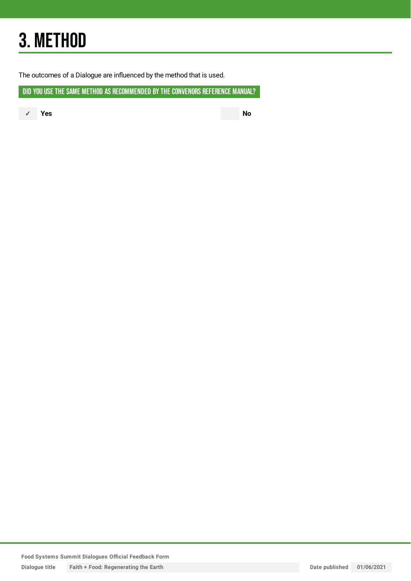## 3. METHOD

The outcomes of a Dialogue are influenced by the method that is used.

DID YOU USE THE SAME METHOD AS RECOMMENDED BY THE CONVENORS REFERENCE MANUAL?

✓ **Yes No**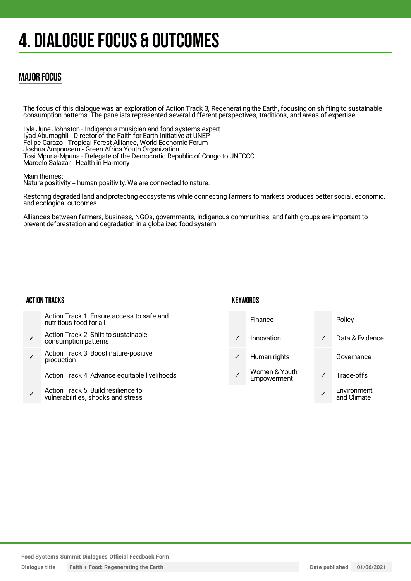## 4. DIALOGUE FOCUS & OUTCOMES

### MAJOR FOCUS

The focus of this dialogue was an exploration of Action Track 3, Regenerating the Earth, focusing on shifting to sustainable consumption patterns. The panelists represented several different perspectives, traditions, and areas of expertise:

Lyla June Johnston - Indigenous musician and food systems expert Iyad Abumoghli - Director of the Faith for Earth Initiative at UNEP Felipe Carazo - Tropical Forest Alliance, World Economic Forum Joshua Amponsem - Green Africa Youth Organization Tosi Mpuna-Mpuna - Delegate of the Democratic Republic of Congo to UNFCCC Marcelo Salazar - Health in Harmony

Main themes:

Nature positivity = human positivity. We are connected to nature.

Restoring degraded land and protecting ecosystems while connecting farmers to markets produces better social, economic, and ecological outcomes

Alliances between farmers, business, NGOs, governments, indigenous communities, and faith groups are important to prevent deforestation and degradation in a globalized food system

#### ACTION TRACKS

✓

| Action Track 1: Ensure access to safe and<br>nutritious food for all |  |
|----------------------------------------------------------------------|--|
| Action Track 2: Shift to sustainable<br>consumption patterns         |  |

✓ Action Track 3: Boost nature-positive production

Action Track 4: Advance equitable livelihoods

✓ Action Track 5: Build resilience to vulnerabilities, shocks and stress

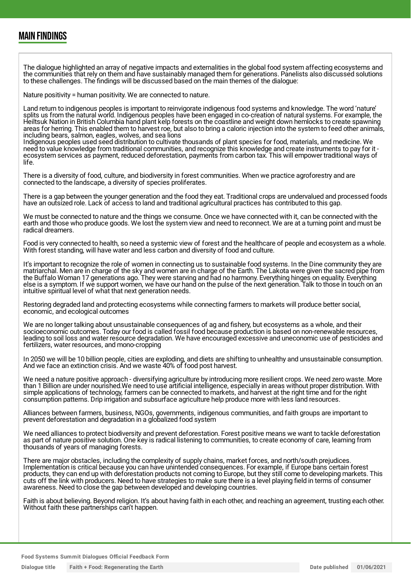### MAIN FINDINGS

The dialogue highlighted an array of negative impacts and externalities in the global food system affecting ecosystems and the communities that rely on them and have sustainably managed them for generations. Panelists also discussed solutions to these challenges. The findings will be discussed based on the main themes of the dialogue:

Nature positivity = human positivity. We are connected to nature.

Land return to indigenous peoples is important to reinvigorate indigenous food systems and knowledge. The word 'nature' splits us from the natural world. Indigenous peoples have been engaged in co-creation of natural systems. For example, the Heiltsuk Nation in British Columbia hand plant kelp forests on the coastline and weight down hemlocks to create spawning areas for herring. This enabled them to harvest roe, but also to bring a caloric injection into the system to feed other animals, including bears, salmon, eagles, wolves, and sea lions

Indigenous peoples used seed distribution to cultivate thousands of plant species for food, materials, and medicine. We need to value knowledge from traditional communities, and recognize this knowledge and create instruments to pay for it ecosystem services as payment, reduced deforestation, payments from carbon tax. This will empower traditional ways of life.

There is a diversity of food, culture, and biodiversity in forest communities. When we practice agroforestry and are connected to the landscape, a diversity of species proliferates.

There is a gap between the younger generation and the food they eat. Traditional crops are undervalued and processed foods have an outsized role. Lack of access to land and traditional agricultural practices has contributed to this gap.

We must be connected to nature and the things we consume. Once we have connected with it, can be connected with the earth and those who produce goods. We lost the system view and need to reconnect. We are at a turning point and must be radical dreamers.

Food is very connected to health, so need a systemic view of forest and the healthcare of people and ecosystem as a whole. With forest standing, will have water and less carbon and diversity of food and culture.

It's important to recognize the role of women in connecting us to sustainable food systems. In the Dine community they are matriarchal. Men are in charge of the sky and women are in charge of the Earth. The Lakota were given the sacred pipe from the Buffalo Woman 17 generations ago. They were starving and had no harmony. Everything hinges on equality. Everything else is a symptom. If we support women, we have our hand on the pulse of the next generation. Talk to those in touch on an intuitive spiritual level of what that next generation needs.

Restoring degraded land and protecting ecosystems while connecting farmers to markets will produce better social, economic, and ecological outcomes

We are no longer talking about unsustainable consequences of ag and fishery, but ecosystems as a whole, and their socioeconomic outcomes. Today our food is called fossil food because production is based on non-renewable resources, leading to soil loss and water resource degradation. We have encouraged excessive and uneconomic use of pesticides and fertilizers, water resources, and mono-cropping

In 2050 we will be 10 billion people, cities are exploding, and diets are shifting to unhealthy and unsustainable consumption. And we face an extinction crisis. And we waste 40% of food post harvest.

We need a nature positive approach - diversifying agriculture by introducing more resilient crops. We need zero waste. More than 1 Billion are under nourished.We need to use artificial intelligence, especially in areas without proper distribution. With simple applications of technology, farmers can be connected to markets, and harvest at the right time and for the right consumption patterns. Drip irrigation and subsurface agriculture help produce more with less land resources.

Alliances between farmers, business, NGOs, governments, indigenous communities, and faith groups are important to prevent deforestation and degradation in a globalized food system

We need alliances to protect biodiversity and prevent deforestation. Forest positive means we want to tackle deforestation as part of nature positive solution. One key is radical listening to communities, to create economy of care, learning from thousands of years of managing forests.

There are major obstacles, including the complexity of supply chains, market forces, and north/south prejudices. Implementation is critical because you can have unintended consequences. For example, if Europe bans certain forest products, they can end up with deforestation products not coming to Europe, but they still come to developing markets. This cuts off the link with producers. Need to have strategies to make sure there is a level playing field in terms of consumer awareness. Need to close the gap between developed and developing countries.

Faith is about believing. Beyond religion. It's about having faith in each other, and reaching an agreement, trusting each other. Without faith these partnerships can't happen.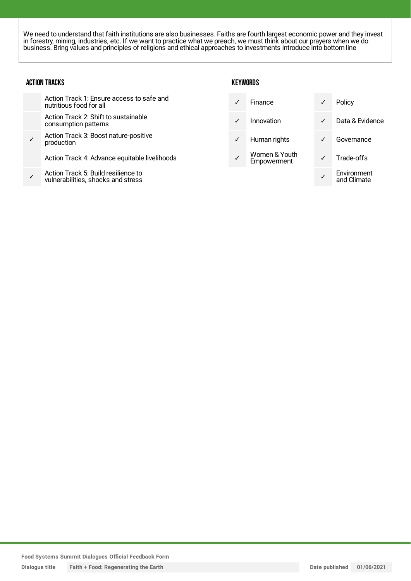We need to understand that faith institutions are also businesses. Faiths are fourth largest economic power and they invest in forestry, mining, industries, etc. If we want to practice what we preach, we must think about our prayers when we do business. Bring values and principles of religions and ethical approaches to investments introduce into bottom line

#### ACTION TRACKS

| Action Track 1: Ensure access to safe and<br>nutritious food for all      | ✓            | Finance                      | $\checkmark$ | Policy                     |
|---------------------------------------------------------------------------|--------------|------------------------------|--------------|----------------------------|
| Action Track 2: Shift to sustainable<br>consumption patterns              | $\checkmark$ | Innovation                   | $\checkmark$ | Data & Evidence            |
| Action Track 3: Boost nature-positive<br>production                       | ✓            | Human rights                 | ✓            | Governance                 |
| Action Track 4: Advance equitable livelihoods                             | ✓            | Women & Youth<br>Empowerment | $\checkmark$ | Trade-offs                 |
| Action Track 5: Build resilience to<br>vulnerabilities, shocks and stress |              |                              |              | Environment<br>and Climate |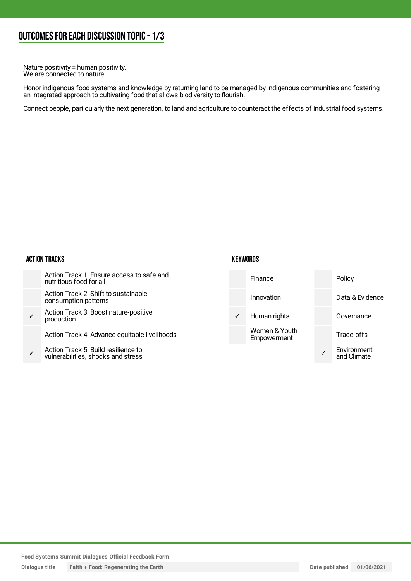Nature positivity = human positivity. We are connected to nature.

Honor indigenous food systems and knowledge by returning land to be managed by indigenous communities and fostering an integrated approach to cultivating food that allows biodiversity to flourish.

Connect people, particularly the next generation, to land and agriculture to counteract the effects of industrial food systems.

#### ACTION TRACKS

| Action Track 1: Ensure access to safe and<br>nutritious food for all      |              | Finance                      | Policy                     |
|---------------------------------------------------------------------------|--------------|------------------------------|----------------------------|
| Action Track 2: Shift to sustainable<br>consumption patterns              |              | Innovation                   | Data & Evidence            |
| Action Track 3: Boost nature-positive<br>production                       | $\checkmark$ | Human rights                 | Governance                 |
| Action Track 4: Advance equitable livelihoods                             |              | Women & Youth<br>Empowerment | Trade-offs                 |
| Action Track 5: Build resilience to<br>vulnerabilities, shocks and stress |              |                              | Environment<br>and Climate |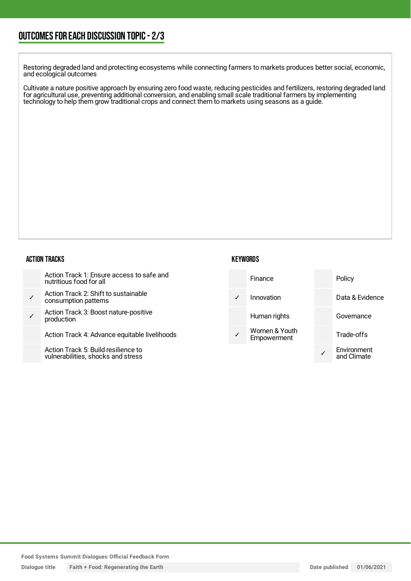Restoring degraded land and protecting ecosystems while connecting farmers to markets produces better social, economic, and ecological outcomes

Cultivate a nature positive approach by ensuring zero food waste, reducing pesticides and fertilizers, restoring degraded land for agricultural use, preventing additional conversion, and enabling small scale traditional farmers by implementing technology to help them grow traditional crops and connect them to markets using seasons as a guide.

#### ACTION TRACKS

| Action Track 1: Ensure access to safe and |
|-------------------------------------------|
| nutritious food for all                   |

- ✓ Action Track 2: Shift to sustainable consumption patterns
- ✓ Action Track 3: Boost nature-positive production

Action Track 4: Advance equitable livelihoods

Action Track 5: Build resilience to vulnerabilities, shocks and stress

| Finance                             | Policy                     |
|-------------------------------------|----------------------------|
| Innovation                          | Data & Evidence            |
| Human rights                        | Governance                 |
| Women & Youth<br><b>Empowerment</b> | Trade-offs                 |
|                                     | Environment<br>and Climate |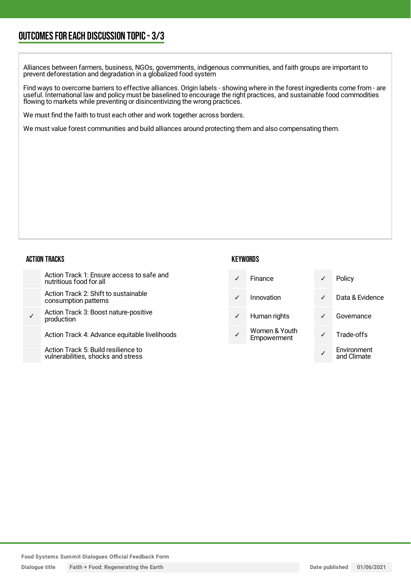### OUTCOMESFOR EACH DISCUSSION TOPIC- 3/3

Alliances between farmers, business, NGOs, governments, indigenous communities, and faith groups are important to prevent deforestation and degradation in a globalized food system

Find ways to overcome barriers to effective alliances. Origin labels - showing where in the forest ingredients come from - are useful. International law and policy must be baselined to encourage the right practices, and sustainable food commodities flowing to markets while preventing or disincentivizing the wrong practices.

We must find the faith to trust each other and work together across borders.

We must value forest communities and build alliances around protecting them and also compensating them.

#### ACTION TRACKS

|              | Action Track 1: Ensure access to safe and<br>nutritious food for all     |              | Finance                      | $\checkmark$ | Policy                     |
|--------------|--------------------------------------------------------------------------|--------------|------------------------------|--------------|----------------------------|
|              | Action Track 2: Shift to sustainable<br>consumption patterns             | $\sqrt{ }$   | Innovation                   | $\sqrt{2}$   | Data & Evidence            |
| $\checkmark$ | Action Track 3: Boost nature-positive<br>production                      | $\checkmark$ | Human rights                 | $\checkmark$ | Governance                 |
|              | Action Track 4: Advance equitable livelihoods                            |              | Women & Youth<br>Empowerment |              | Trade-offs                 |
|              | Action Track 5: Build resilience to<br>vulnerabilities shocks and stress |              |                              |              | Environment<br>and Climate |

**KEYWORDS** 

vulnerabilities, shocks and stress

and Climate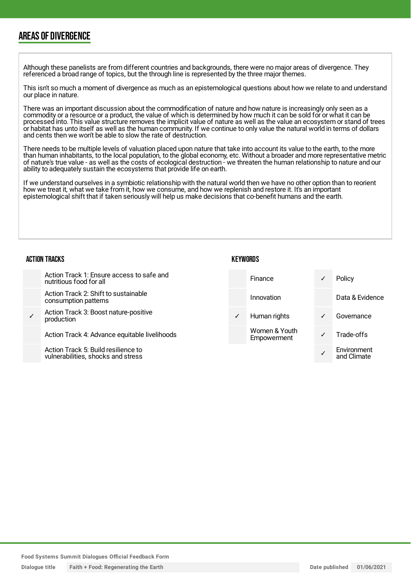### AREAS OF DIVERGENCE

Although these panelists are from different countries and backgrounds, there were no major areas of divergence. They referenced a broad range of topics, but the through line is represented by the three major themes.

This isn't so much a moment of divergence as much as an epistemological questions about how we relate to and understand our place in nature.

There was an important discussion about the commodification of nature and how nature is increasingly only seen as a commodity or a resource or a product, the value of which is determined by how much it can be sold for or what it can be processed into. This value structure removes the implicit value of nature as well as the value an ecosystem or stand of trees or habitat has unto itself as well as the human community. If we continue to only value the natural world in terms of dollars and cents then we won't be able to slow the rate of destruction.

There needs to be multiple levels of valuation placed upon nature that take into account its value to the earth, to the more than human inhabitants, to the local population, to the global economy, etc. Without a broader and more representative metric of nature's true value - as well as the costs of ecological destruction - we threaten the human relationship to nature and our ability to adequately sustain the ecosystems that provide life on earth.

If we understand ourselves in a symbiotic relationship with the natural world then we have no other option than to reorient how we treat it, what we take from it, how we consume, and how we replenish and restore it. It's an important epistemological shift that if taken seriously will help us make decisions that co-benefit humans and the earth.

#### ACTION TRACKS

| Action Track 1: Ensure access to safe and<br>nutritious food for all      |              | Finance                      |              | Policy                     |
|---------------------------------------------------------------------------|--------------|------------------------------|--------------|----------------------------|
| Action Track 2: Shift to sustainable<br>consumption patterns              |              | Innovation                   |              | Data & Evidence            |
| Action Track 3: Boost nature-positive<br>production                       | $\checkmark$ | Human rights                 | $\checkmark$ | Governance                 |
| Action Track 4: Advance equitable livelihoods                             |              | Women & Youth<br>Empowerment |              | Trade-offs                 |
| Action Track 5: Build resilience to<br>vulnerabilities, shocks and stress |              |                              |              | Environment<br>and Climate |